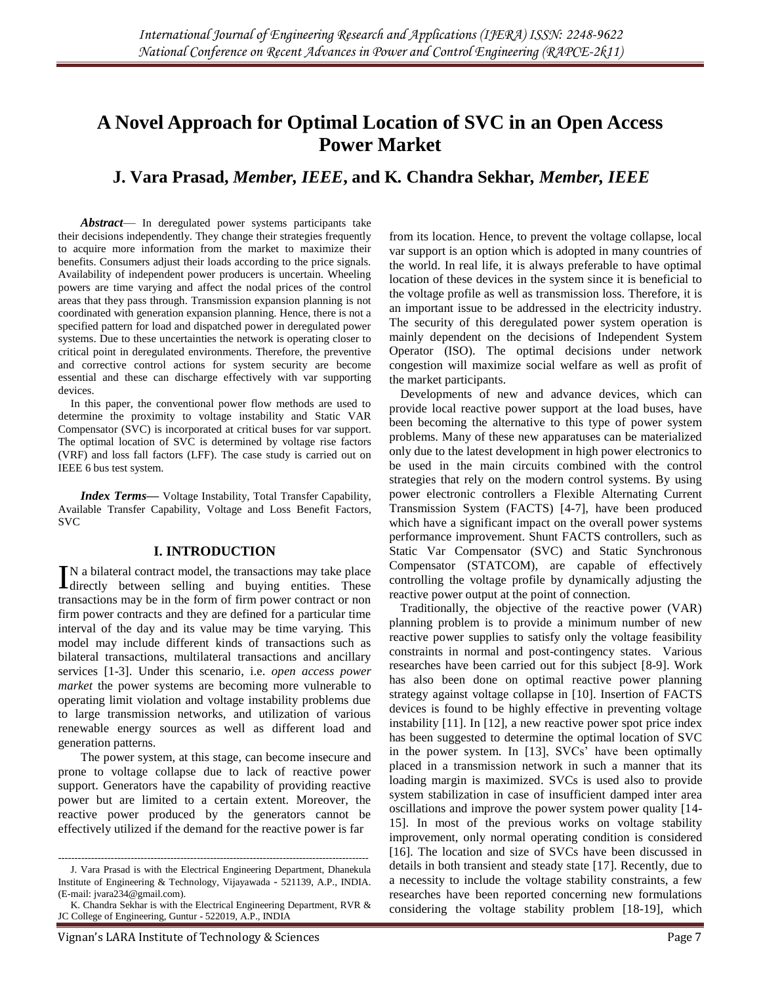# **A Novel Approach for Optimal Location of SVC in an Open Access Power Market**

**J. Vara Prasad,** *Member, IEEE***, and K***.* **Chandra Sekhar***, Member, IEEE*

*Abstract*— In deregulated power systems participants take their decisions independently. They change their strategies frequently to acquire more information from the market to maximize their benefits. Consumers adjust their loads according to the price signals. Availability of independent power producers is uncertain. Wheeling powers are time varying and affect the nodal prices of the control areas that they pass through. Transmission expansion planning is not coordinated with generation expansion planning. Hence, there is not a specified pattern for load and dispatched power in deregulated power systems. Due to these uncertainties the network is operating closer to critical point in deregulated environments. Therefore, the preventive and corrective control actions for system security are become essential and these can discharge effectively with var supporting devices.

In this paper, the conventional power flow methods are used to determine the proximity to voltage instability and Static VAR Compensator (SVC) is incorporated at critical buses for var support. The optimal location of SVC is determined by voltage rise factors (VRF) and loss fall factors (LFF). The case study is carried out on IEEE 6 bus test system.

*Index Terms***—** Voltage Instability, Total Transfer Capability, Available Transfer Capability, Voltage and Loss Benefit Factors, SVC

# **I. INTRODUCTION**

N a bilateral contract model, the transactions may take place IN a bilateral contract model, the transactions may take place<br>directly between selling and buying entities. These transactions may be in the form of firm power contract or non firm power contracts and they are defined for a particular time interval of the day and its value may be time varying. This model may include different kinds of transactions such as bilateral transactions, multilateral transactions and ancillary services [1-3]. Under this scenario, i.e. *open access power market* the power systems are becoming more vulnerable to operating limit violation and voltage instability problems due to large transmission networks, and utilization of various renewable energy sources as well as different load and generation patterns.

The power system, at this stage, can become insecure and prone to voltage collapse due to lack of reactive power support. Generators have the capability of providing reactive power but are limited to a certain extent. Moreover, the reactive power produced by the generators cannot be effectively utilized if the demand for the reactive power is far

from its location. Hence, to prevent the voltage collapse, local var support is an option which is adopted in many countries of the world. In real life, it is always preferable to have optimal location of these devices in the system since it is beneficial to the voltage profile as well as transmission loss. Therefore, it is an important issue to be addressed in the electricity industry. The security of this deregulated power system operation is mainly dependent on the decisions of Independent System Operator (ISO). The optimal decisions under network congestion will maximize social welfare as well as profit of the market participants.

Developments of new and advance devices, which can provide local reactive power support at the load buses, have been becoming the alternative to this type of power system problems. Many of these new apparatuses can be materialized only due to the latest development in high power electronics to be used in the main circuits combined with the control strategies that rely on the modern control systems. By using power electronic controllers a Flexible Alternating Current Transmission System (FACTS) [4-7], have been produced which have a significant impact on the overall power systems performance improvement. Shunt FACTS controllers, such as Static Var Compensator (SVC) and Static Synchronous Compensator (STATCOM), are capable of effectively controlling the voltage profile by dynamically adjusting the reactive power output at the point of connection.

Traditionally, the objective of the reactive power (VAR) planning problem is to provide a minimum number of new reactive power supplies to satisfy only the voltage feasibility constraints in normal and post-contingency states. Various researches have been carried out for this subject [8-9]. Work has also been done on optimal reactive power planning strategy against voltage collapse in [10]. Insertion of FACTS devices is found to be highly effective in preventing voltage instability [11]. In [12], a new reactive power spot price index has been suggested to determine the optimal location of SVC in the power system. In [13], SVCs' have been optimally placed in a transmission network in such a manner that its loading margin is maximized. SVCs is used also to provide system stabilization in case of insufficient damped inter area oscillations and improve the power system power quality [14- 15]. In most of the previous works on voltage stability improvement, only normal operating condition is considered [16]. The location and size of SVCs have been discussed in details in both transient and steady state [17]. Recently, due to a necessity to include the voltage stability constraints, a few researches have been reported concerning new formulations considering the voltage stability problem [18-19], which

<sup>----------------------------------------------------------------------------------------------</sup> J. Vara Prasad is with the Electrical Engineering Department, Dhanekula Institute of Engineering & Technology, Vijayawada - 521139, A.P., INDIA. (E-mail[: jvara234@gmail.com\)](mailto:jvara234@gmail.com).

K. Chandra Sekhar is with the Electrical Engineering Department, RVR & JC College of Engineering, Guntur - 522019, A.P., INDIA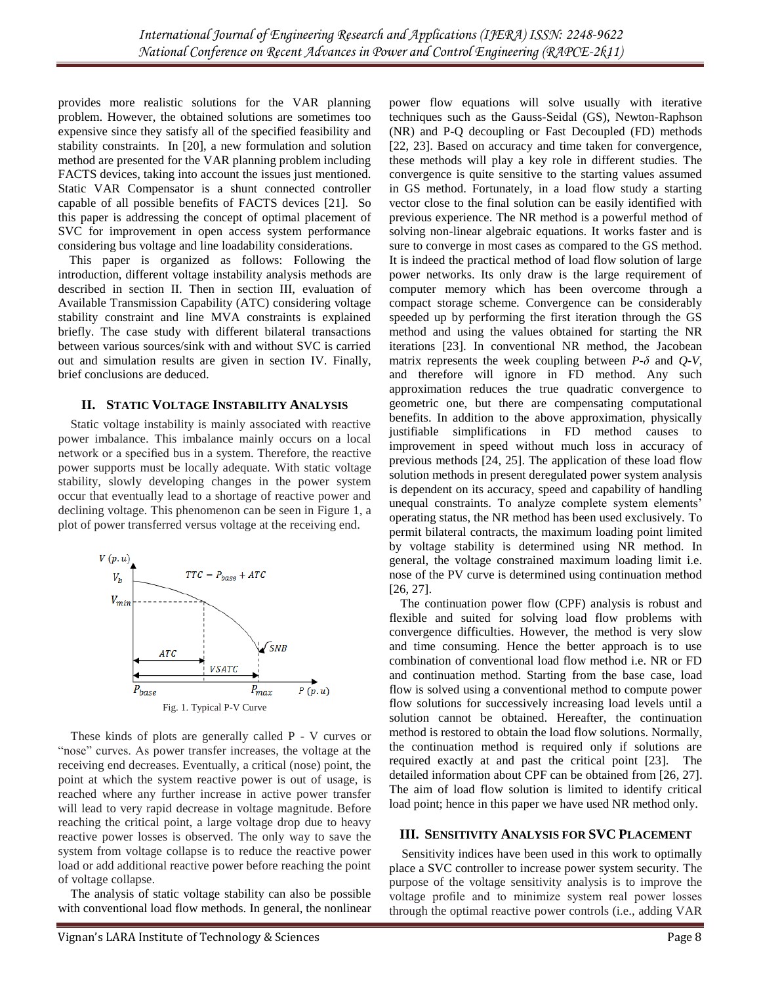provides more realistic solutions for the VAR planning problem. However, the obtained solutions are sometimes too expensive since they satisfy all of the specified feasibility and stability constraints. In [20], a new formulation and solution method are presented for the VAR planning problem including FACTS devices, taking into account the issues just mentioned. Static VAR Compensator is a shunt connected controller capable of all possible benefits of FACTS devices [21]. So this paper is addressing the concept of optimal placement of SVC for improvement in open access system performance considering bus voltage and line loadability considerations.

This paper is organized as follows: Following the introduction, different voltage instability analysis methods are described in section II. Then in section III, evaluation of Available Transmission Capability (ATC) considering voltage stability constraint and line MVA constraints is explained briefly. The case study with different bilateral transactions between various sources/sink with and without SVC is carried out and simulation results are given in section IV. Finally, brief conclusions are deduced.

# **II. STATIC VOLTAGE INSTABILITY ANALYSIS**

Static voltage instability is mainly associated with reactive power imbalance. This imbalance mainly occurs on a local network or a specified bus in a system. Therefore, the reactive power supports must be locally adequate. With static voltage stability, slowly developing changes in the power system occur that eventually lead to a shortage of reactive power and declining voltage. This phenomenon can be seen in Figure 1, a plot of power transferred versus voltage at the receiving end.



These kinds of plots are generally called P - V curves or "nose" curves. As power transfer increases, the voltage at the receiving end decreases. Eventually, a critical (nose) point, the point at which the system reactive power is out of usage, is reached where any further increase in active power transfer will lead to very rapid decrease in voltage magnitude. Before reaching the critical point, a large voltage drop due to heavy reactive power losses is observed. The only way to save the system from voltage collapse is to reduce the reactive power load or add additional reactive power before reaching the point of voltage collapse.

The analysis of static voltage stability can also be possible with conventional load flow methods. In general, the nonlinear power flow equations will solve usually with iterative techniques such as the Gauss-Seidal (GS), Newton-Raphson (NR) and P-Q decoupling or Fast Decoupled (FD) methods [22, 23]. Based on accuracy and time taken for convergence, these methods will play a key role in different studies. The convergence is quite sensitive to the starting values assumed in GS method. Fortunately, in a load flow study a starting vector close to the final solution can be easily identified with previous experience. The NR method is a powerful method of solving non-linear algebraic equations. It works faster and is sure to converge in most cases as compared to the GS method. It is indeed the practical method of load flow solution of large power networks. Its only draw is the large requirement of computer memory which has been overcome through a compact storage scheme. Convergence can be considerably speeded up by performing the first iteration through the GS method and using the values obtained for starting the NR iterations [23]. In conventional NR method, the Jacobean matrix represents the week coupling between  $P-\delta$  and  $Q-V$ , and therefore will ignore in FD method. Any such approximation reduces the true quadratic convergence to geometric one, but there are compensating computational benefits. In addition to the above approximation, physically justifiable simplifications in FD method causes to improvement in speed without much loss in accuracy of previous methods [24, 25]. The application of these load flow solution methods in present deregulated power system analysis is dependent on its accuracy, speed and capability of handling unequal constraints. To analyze complete system elements' operating status, the NR method has been used exclusively. To permit bilateral contracts, the maximum loading point limited by voltage stability is determined using NR method. In general, the voltage constrained maximum loading limit i.e. nose of the PV curve is determined using continuation method [26, 27].

The continuation power flow (CPF) analysis is robust and flexible and suited for solving load flow problems with convergence difficulties. However, the method is very slow and time consuming. Hence the better approach is to use combination of conventional load flow method i.e. NR or FD and continuation method. Starting from the base case, load flow is solved using a conventional method to compute power flow solutions for successively increasing load levels until a solution cannot be obtained. Hereafter, the continuation method is restored to obtain the load flow solutions. Normally, the continuation method is required only if solutions are required exactly at and past the critical point [23]. The detailed information about CPF can be obtained from [26, 27]. The aim of load flow solution is limited to identify critical load point; hence in this paper we have used NR method only.

## **III. SENSITIVITY ANALYSIS FOR SVC PLACEMENT**

Sensitivity indices have been used in this work to optimally place a SVC controller to increase power system security. The purpose of the voltage sensitivity analysis is to improve the voltage profile and to minimize system real power losses through the optimal reactive power controls (i.e., adding VAR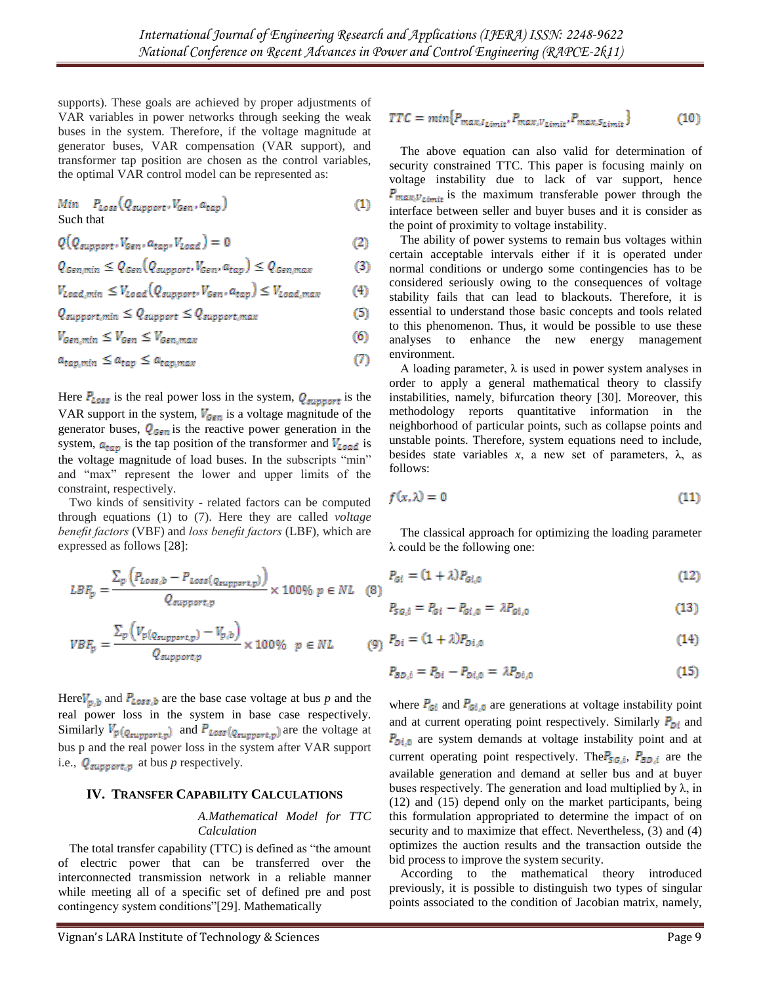supports). These goals are achieved by proper adjustments of VAR variables in power networks through seeking the weak buses in the system. Therefore, if the voltage magnitude at generator buses, VAR compensation (VAR support), and transformer tap position are chosen as the control variables, the optimal VAR control model can be represented as:

 $Min$   $P_{Loss}(Q_{support}, V_{Gen}, a_{tap})$  $(1)$ Such that

$$
Q(Q_{support}, V_{Gen}, a_{tap}, V_{Load}) = 0
$$
\n(2)

$$
Q_{Gen,min} \leq Q_{Gen}(Q_{support}, V_{Gen}, a_{tap}) \leq Q_{Gen,max}
$$
 (3)

$$
V_{\text{load,min}} \leq V_{\text{load}}(Q_{\text{support}}, V_{\text{Gen}}, a_{\text{tap}}) \leq V_{\text{load,max}} \tag{4}
$$

$$
Q_{support,min} \leq Q_{support} \leq Q_{support,max} \tag{5}
$$

$$
V_{Gen,min} \le V_{Gen} \le V_{Gen,max} \tag{6}
$$

 $(7)$  $a_{tap,min} \leq a_{tap} \leq a_{tap,max}$ 

Here  $P_{Loss}$  is the real power loss in the system,  $Q_{support}$  is the VAR support in the system,  $V_{Gen}$  is a voltage magnitude of the generator buses,  $Q_{Gen}$  is the reactive power generation in the system,  $a_{\text{tap}}$  is the tap position of the transformer and  $V_{\text{load}}$  is the voltage magnitude of load buses. In the subscripts "min" and "max" represent the lower and upper limits of the constraint, respectively.

Two kinds of sensitivity - related factors can be computed through equations (1) to (7). Here they are called *voltage benefit factors* (VBF) and *loss benefit factors* (LBF), which are expressed as follows [28]:

$$
LBF_p = \frac{\sum_p (P_{Loss, b} - P_{Loss(q_{support, p})})}{Q_{support, p}} \times 100\% \ p \in NL \quad (8)
$$

$$
VBF_p = \frac{\sum_p \left( V_{p(Q_{support,p})} - V_{p,b} \right)}{Q_{support,p}} \times 100\% \quad p \in NL
$$

Here  $V_{p,b}$  and  $P_{Loss,b}$  are the base case voltage at bus p and the real power loss in the system in base case respectively. Similarly  $V_p(q_{support,p})$  and  $P_{Loss}(q_{support,p})$  are the voltage at bus p and the real power loss in the system after VAR support i.e.,  $Q_{support,p}$  at bus *p* respectively.

## **IV. TRANSFER CAPABILITY CALCULATIONS**

## *A.Mathematical Model for TTC Calculation*

The total transfer capability (TTC) is defined as "the amount of electric power that can be transferred over the interconnected transmission network in a reliable manner while meeting all of a specific set of defined pre and post contingency system conditions"[29]. Mathematically

$$
TTC = min\{P_{max, I_{Limit}}, P_{max, V_{Limit}}, P_{max, S_{Limit}}\}
$$
 (10)

The above equation can also valid for determination of security constrained TTC. This paper is focusing mainly on voltage instability due to lack of var support, hence  $P_{\text{max},V_{\text{Limit}}}$  is the maximum transferable power through the interface between seller and buyer buses and it is consider as the point of proximity to voltage instability.

The ability of power systems to remain bus voltages within certain acceptable intervals either if it is operated under normal conditions or undergo some contingencies has to be considered seriously owing to the consequences of voltage stability fails that can lead to blackouts. Therefore, it is essential to understand those basic concepts and tools related to this phenomenon. Thus, it would be possible to use these analyses to enhance the new energy management environment.

A loading parameter,  $\lambda$  is used in power system analyses in order to apply a general mathematical theory to classify instabilities, namely, bifurcation theory [30]. Moreover, this methodology reports quantitative information in the neighborhood of particular points, such as collapse points and unstable points. Therefore, system equations need to include, besides state variables  $x$ , a new set of parameters,  $\lambda$ , as follows:

$$
f(x,\lambda) = 0 \tag{11}
$$

The classical approach for optimizing the loading parameter λ could be the following one:

$$
P_{G_i} = (1 + \lambda) P_{G_i,0} \tag{12}
$$

$$
P_{SG,i} = P_{Gi} - P_{Gi,0} = \lambda P_{Gi,0}
$$
 (13)

$$
(9) \ \ P_{Di} = (1 + \lambda) P_{Di,0} \tag{14}
$$

$$
P_{BD,i} = P_{Di} - P_{Di,0} = \lambda P_{Di,0}
$$
 (15)

where  $P_{\text{Gi}}$  and  $P_{\text{Gi},0}$  are generations at voltage instability point and at current operating point respectively. Similarly  $P_{Di}$  and  $P_{\text{Di},0}$  are system demands at voltage instability point and at current operating point respectively. The  $P_{5G,i}$ ,  $P_{BD,i}$  are the available generation and demand at seller bus and at buyer buses respectively. The generation and load multiplied by  $\lambda$ , in (12) and (15) depend only on the market participants, being this formulation appropriated to determine the impact of on security and to maximize that effect. Nevertheless,  $(3)$  and  $(4)$ optimizes the auction results and the transaction outside the bid process to improve the system security.

According to the mathematical theory introduced previously, it is possible to distinguish two types of singular points associated to the condition of Jacobian matrix, namely,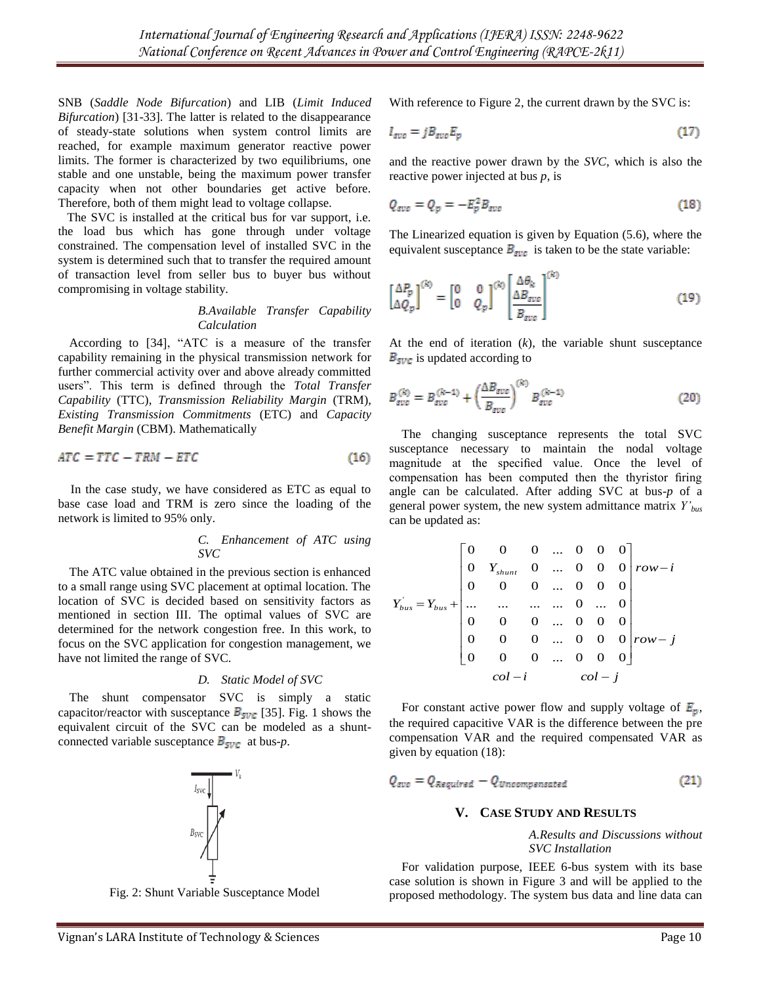SNB (*Saddle Node Bifurcation*) and LIB (*Limit Induced Bifurcation*) [31-33]. The latter is related to the disappearance of steady-state solutions when system control limits are reached, for example maximum generator reactive power limits. The former is characterized by two equilibriums, one stable and one unstable, being the maximum power transfer capacity when not other boundaries get active before. Therefore, both of them might lead to voltage collapse.

The SVC is installed at the critical bus for var support, i.e. the load bus which has gone through under voltage constrained. The compensation level of installed SVC in the system is determined such that to transfer the required amount of transaction level from seller bus to buyer bus without compromising in voltage stability.

## *B.Available Transfer Capability Calculation*

According to [34], "ATC is a measure of the transfer capability remaining in the physical transmission network for further commercial activity over and above already committed users". This term is defined through the *Total Transfer Capability* (TTC), *Transmission Reliability Margin* (TRM), *Existing Transmission Commitments* (ETC) and *Capacity Benefit Margin* (CBM). Mathematically

$$
ATC = TTC - TRM - ETC \tag{16}
$$

In the case study, we have considered as ETC as equal to base case load and TRM is zero since the loading of the network is limited to 95% only.

#### *C. Enhancement of ATC using SVC*

The ATC value obtained in the previous section is enhanced to a small range using SVC placement at optimal location. The location of SVC is decided based on sensitivity factors as mentioned in section III. The optimal values of SVC are determined for the network congestion free. In this work, to focus on the SVC application for congestion management, we have not limited the range of SVC.

## *D. Static Model of SVC*

The shunt compensator SVC is simply a static capacitor/reactor with susceptance  $B_{SVC}$  [35]. Fig. 1 shows the equivalent circuit of the SVC can be modeled as a shuntconnected variable susceptance  $B_{SVC}$  at bus-*p*.



Fig. 2: Shunt Variable Susceptance Model

With reference to Figure 2, the current drawn by the SVC is:

$$
I_{\text{svo}} = j B_{\text{svo}} E_p \tag{17}
$$

and the reactive power drawn by the *SVC*, which is also the reactive power injected at bus *p*, is

$$
Q_{svc} = Q_p = -E_p^2 B_{svc}
$$
 (18)

The Linearized equation is given by Equation (5.6), where the equivalent susceptance  $B_{\text{spec}}$  is taken to be the state variable:

$$
\begin{bmatrix} \Delta P_p \\ \Delta Q_p \end{bmatrix}^{(k)} = \begin{bmatrix} 0 & 0 \\ 0 & Q_p \end{bmatrix}^{(k)} \begin{bmatrix} \Delta \theta_k \\ \Delta B_{\text{syc}} \\ \hline B_{\text{syc}} \end{bmatrix}^{(k)} \tag{19}
$$

At the end of iteration (*k*), the variable shunt susceptance  $B<sub>SVC</sub>$  is updated according to

$$
B_{\text{succ}}^{(k)} = B_{\text{succ}}^{(k-1)} + \left(\frac{\Delta B_{\text{succ}}}{B_{\text{succ}}}\right)^{(k)} B_{\text{succ}}^{(k-1)} \tag{20}
$$

The changing susceptance represents the total SVC susceptance necessary to maintain the nodal voltage magnitude at the specified value. Once the level of compensation has been computed then the thyristor firing angle can be calculated. After adding SVC at bus-*p* of a general power system, the new system admittance matrix *Y'bus* can be updated as:

$$
Y_{bus}' = Y_{bus} + \begin{bmatrix} 0 & 0 & 0 & \dots & 0 & 0 & 0 \\ 0 & Y_{shunt} & 0 & \dots & 0 & 0 & 0 \\ 0 & 0 & 0 & \dots & 0 & 0 & 0 \\ \dots & \dots & \dots & \dots & \dots & 0 & \dots & 0 \\ 0 & 0 & 0 & \dots & 0 & 0 & 0 \\ 0 & 0 & 0 & \dots & 0 & 0 & 0 \\ 0 & 0 & 0 & \dots & 0 & 0 & 0 \end{bmatrix} row - j
$$
  

$$
col - i \qquad col - j
$$

For constant active power flow and supply voltage of  $E_n$ , the required capacitive VAR is the difference between the pre compensation VAR and the required compensated VAR as given by equation (18):

$$
Q_{\text{syc}} = Q_{\text{Required}} - Q_{\text{Uncompensated}} \tag{21}
$$

## **V. CASE STUDY AND RESULTS**

*A.Results and Discussions without SVC Installation*

For validation purpose, IEEE 6-bus system with its base case solution is shown in Figure 3 and will be applied to the proposed methodology. The system bus data and line data can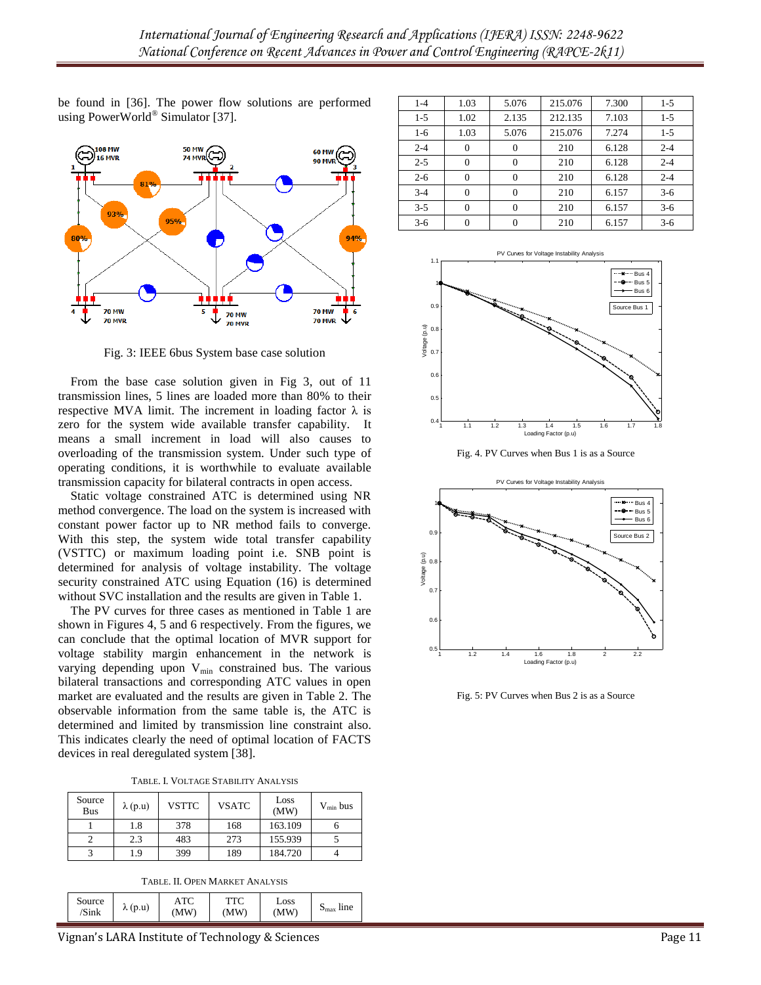be found in [36]. The power flow solutions are performed using PowerWorld® Simulator [37].



Fig. 3: IEEE 6bus System base case solution

From the base case solution given in Fig 3, out of 11 transmission lines, 5 lines are loaded more than 80% to their respective MVA limit. The increment in loading factor  $\lambda$  is zero for the system wide available transfer capability. It means a small increment in load will also causes to overloading of the transmission system. Under such type of operating conditions, it is worthwhile to evaluate available transmission capacity for bilateral contracts in open access.

Static voltage constrained ATC is determined using NR method convergence. The load on the system is increased with constant power factor up to NR method fails to converge. With this step, the system wide total transfer capability (VSTTC) or maximum loading point i.e. SNB point is determined for analysis of voltage instability. The voltage security constrained ATC using Equation (16) is determined without SVC installation and the results are given in Table 1.

The PV curves for three cases as mentioned in Table 1 are shown in Figures 4, 5 and 6 respectively. From the figures, we can conclude that the optimal location of MVR support for voltage stability margin enhancement in the network is varying depending upon  $V_{min}$  constrained bus. The various bilateral transactions and corresponding ATC values in open market are evaluated and the results are given in Table 2. The observable information from the same table is, the ATC is determined and limited by transmission line constraint also. This indicates clearly the need of optimal location of FACTS devices in real deregulated system [38].

TABLE. I. VOLTAGE STABILITY ANALYSIS

| Source<br><b>Bus</b> | $\lambda$ (p.u) | <b>VSTTC</b> | <b>VSATC</b> | Loss<br>(MW) | $V_{\min}$ bus |
|----------------------|-----------------|--------------|--------------|--------------|----------------|
|                      | 1.8             | 378          | 168          | 163.109      |                |
|                      | 2.3             | 483          | 273          | 155.939      |                |
|                      | 1.9             | 399          | 189          | 184.720      |                |

| Source<br>$\lambda$ (p.u)<br>MW<br>.MW<br>'Sink | Loss<br>MW | line<br>$\mathbf{v}_{\text{max}}$ |
|-------------------------------------------------|------------|-----------------------------------|
|-------------------------------------------------|------------|-----------------------------------|

| $1 - 4$ | 1.03 | 5.076 | 215.076 | 7.300 | $1 - 5$ |
|---------|------|-------|---------|-------|---------|
| $1 - 5$ | 1.02 | 2.135 | 212.135 | 7.103 | $1 - 5$ |
| $1-6$   | 1.03 | 5.076 | 215.076 | 7.274 | $1 - 5$ |
| $2 - 4$ | 0    | 0     | 210     | 6.128 | $2 - 4$ |
| $2 - 5$ | 0    | 0     | 210     | 6.128 | $2 - 4$ |
| $2 - 6$ | 0    | 0     | 210     | 6.128 | $2 - 4$ |
| $3 - 4$ | 0    | 0     | 210     | 6.157 | $3-6$   |
| $3 - 5$ |      | 0     | 210     | 6.157 | $3-6$   |
| $3-6$   |      |       | 210     | 6.157 | $3-6$   |



Fig. 4. PV Curves when Bus 1 is as a Source



Fig. 5: PV Curves when Bus 2 is as a Source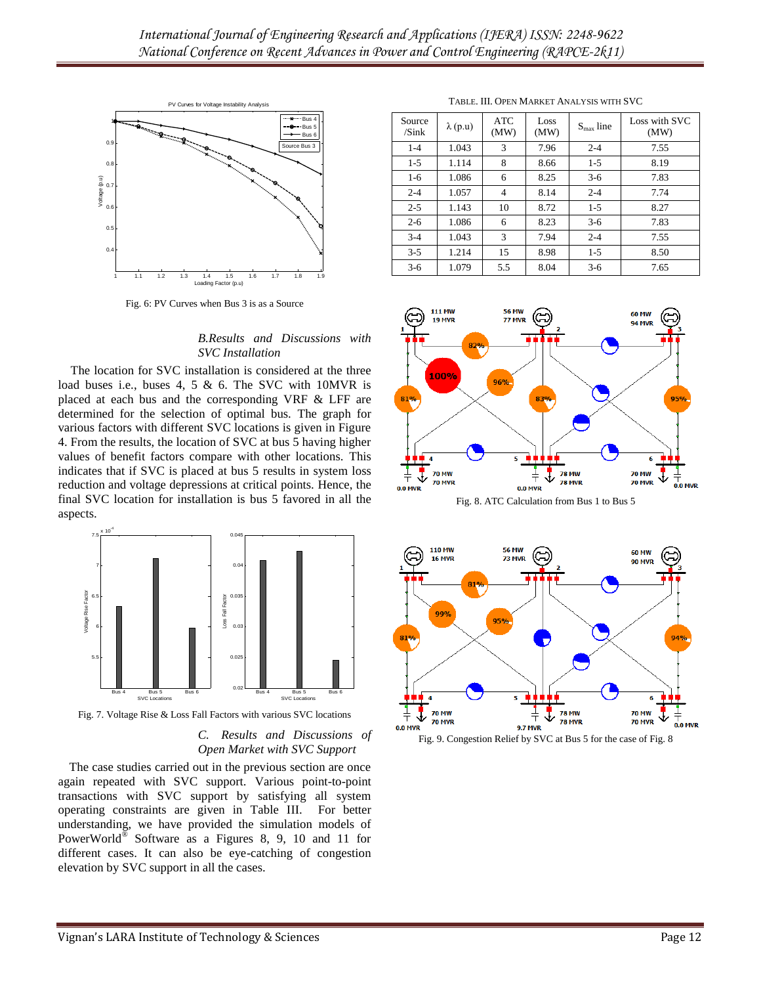

Fig. 6: PV Curves when Bus 3 is as a Source

#### *B.Results and Discussions with SVC Installation*

The location for SVC installation is considered at the three load buses i.e., buses 4, 5 & 6. The SVC with 10MVR is placed at each bus and the corresponding VRF & LFF are determined for the selection of optimal bus. The graph for various factors with different SVC locations is given in Figure 4. From the results, the location of SVC at bus 5 having higher values of benefit factors compare with other locations. This indicates that if SVC is placed at bus 5 results in system loss reduction and voltage depressions at critical points. Hence, the final SVC location for installation is bus 5 favored in all the aspects.



Fig. 7. Voltage Rise & Loss Fall Factors with various SVC locations

*C. Results and Discussions of Open Market with SVC Support*

The case studies carried out in the previous section are once again repeated with SVC support. Various point-to-point transactions with SVC support by satisfying all system operating constraints are given in Table III. For better understanding, we have provided the simulation models of PowerWorld<sup>®</sup> Software as a Figures 8, 9, 10 and 11 for different cases. It can also be eye-catching of congestion elevation by SVC support in all the cases.

| Source<br>/Sink | $\lambda$ (p.u) | <b>ATC</b><br>(MW) | Loss<br>(MW) | $Smax$ line | Loss with SVC<br>(MW) |
|-----------------|-----------------|--------------------|--------------|-------------|-----------------------|
| $1 - 4$         | 1.043           | 3                  | 7.96         | $2 - 4$     | 7.55                  |
| $1-5$           | 1.114           | 8                  | 8.66         | $1-5$       | 8.19                  |
| $1-6$           | 1.086           | 6                  | 8.25         | $3-6$       | 7.83                  |
| $2 - 4$         | 1.057           | $\overline{4}$     | 8.14         | $2 - 4$     | 7.74                  |
| $2 - 5$         | 1.143           | 10                 | 8.72         | $1-5$       | 8.27                  |
| $2 - 6$         | 1.086           | 6                  | 8.23         | $3-6$       | 7.83                  |
| $3-4$           | 1.043           | 3                  | 7.94         | $2 - 4$     | 7.55                  |
| $3 - 5$         | 1.214           | 15                 | 8.98         | $1-5$       | 8.50                  |
| $3-6$           | 1.079           | 5.5                | 8.04         | $3-6$       | 7.65                  |



Fig. 8. ATC Calculation from Bus 1 to Bus 5





TABLE. III. OPEN MARKET ANALYSIS WITH SVC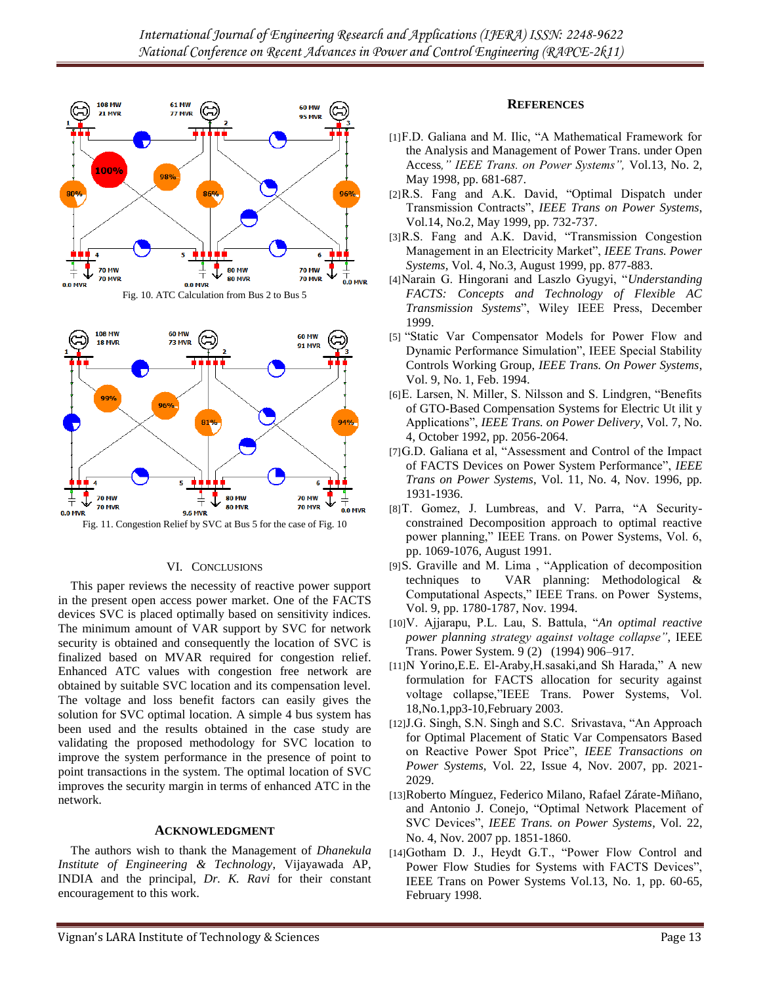

Fig. 10. ATC Calculation from Bus 2 to Bus 5



Fig. 11. Congestion Relief by SVC at Bus 5 for the case of Fig. 10

### VI. CONCLUSIONS

This paper reviews the necessity of reactive power support in the present open access power market. One of the FACTS devices SVC is placed optimally based on sensitivity indices. The minimum amount of VAR support by SVC for network security is obtained and consequently the location of SVC is finalized based on MVAR required for congestion relief. Enhanced ATC values with congestion free network are obtained by suitable SVC location and its compensation level. The voltage and loss benefit factors can easily gives the solution for SVC optimal location. A simple 4 bus system has been used and the results obtained in the case study are validating the proposed methodology for SVC location to improve the system performance in the presence of point to point transactions in the system. The optimal location of SVC improves the security margin in terms of enhanced ATC in the network.

#### **ACKNOWLEDGMENT**

The authors wish to thank the Management of *Dhanekula Institute of Engineering & Technology*, Vijayawada AP, INDIA and the principal, *Dr. K. Ravi* for their constant encouragement to this work.

#### **REFERENCES**

- [1]F.D. Galiana and M. Ilic, "A Mathematical Framework for the Analysis and Management of Power Trans. under Open Access*," IEEE Trans. on Power Systems",* Vol.13, No. 2, May 1998, pp. 681-687.
- $[2]$ R.S. Fang and A.K. David, "Optimal Dispatch under Transmission Contracts‖, *IEEE Trans on Power Systems*, Vol.14, No.2, May 1999, pp. 732-737.
- [3]R.S. Fang and A.K. David, "Transmission Congestion Management in an Electricity Market", *IEEE Trans. Power Systems,* Vol. 4, No.3, August 1999, pp. 877-883.
- [4]Narain G. Hingorani and Laszlo Gyugyi, "Understanding *FACTS: Concepts and Technology of Flexible AC Transmission Systems*‖, Wiley IEEE Press, December 1999.
- [5] "Static Var Compensator Models for Power Flow and Dynamic Performance Simulation", IEEE Special Stability Controls Working Group, *IEEE Trans. On Power Systems*, Vol. 9, No. 1, Feb. 1994.
- [6] E. Larsen, N. Miller, S. Nilsson and S. Lindgren, "Benefits" of GTO-Based Compensation Systems for Electric Ut ilit y Applications‖, *IEEE Trans. on Power Delivery*, Vol. 7, No. 4, October 1992, pp. 2056-2064.
- [7] G.D. Galiana et al, "Assessment and Control of the Impact of FACTS Devices on Power System Performance‖, *IEEE Trans on Power Systems*, Vol. 11, No. 4, Nov. 1996, pp. 1931-1936.
- [8] T. Gomez, J. Lumbreas, and V. Parra, "A Securityconstrained Decomposition approach to optimal reactive power planning," IEEE Trans. on Power Systems, Vol. 6, pp. 1069-1076, August 1991.
- [9]S. Graville and M. Lima, "Application of decomposition techniques to VAR planning: Methodological & Computational Aspects," IEEE Trans. on Power Systems, Vol. 9, pp. 1780-1787, Nov. 1994.
- [10]V. Ajjarapu, P.L. Lau, S. Battula, ―*An optimal reactive power planning strategy against voltage collapse"*, IEEE Trans. Power System. 9 (2) (1994) 906–917.
- $[11]$ N Yorino, E.E. El-Araby, H. sasaki, and Sh Harada," A new formulation for FACTS allocation for security against voltage collapse,"IEEE Trans. Power Systems, Vol. 18,No.1,pp3-10,February 2003.
- [12]J.G. Singh, S.N. Singh and S.C. Srivastava, "An Approach for Optimal Placement of Static Var Compensators Based on Reactive Power Spot Price", *IEEE Transactions on Power Systems*, Vol. 22, Issue 4, Nov. 2007, pp. 2021- 2029.
- [13]Roberto Mínguez, Federico Milano, Rafael Zárate-Miñano, and Antonio J. Conejo, "Optimal Network Placement of SVC Devices", *IEEE Trans. on Power Systems*, Vol. 22, No. 4, Nov. 2007 pp. 1851-1860.
- [14]Gotham D. J., Heydt G.T., "Power Flow Control and Power Flow Studies for Systems with FACTS Devices", IEEE Trans on Power Systems Vol.13, No. 1, pp. 60-65, February 1998.